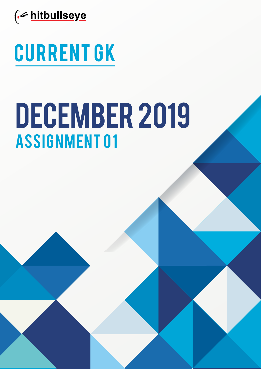

# Current GK

# **ASSIGNMENT 01** DECEMBER 2019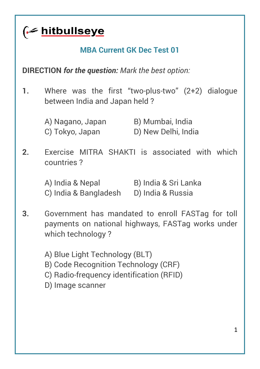<u>fe hitbullseye</u>

#### **MBA Current GK Dec Test 01**

**DIRECTION** *for the question: Mark the best option:*

- **1.** Where was the first "two-plus-two" (2+2) dialogue between India and Japan held ?
	- A) Nagano, Japan B) Mumbai, India C) Tokyo, Japan D) New Delhi, India
- **2.** Exercise MITRA SHAKTI is associated with which countries ?
	- A) India & Nepal B) India & Sri Lanka C) India & Bangladesh D) India & Russia
- **3.** Government has mandated to enroll FASTag for toll payments on national highways, FASTag works under which technology?
	- A) Blue Light Technology (BLT)
	- B) Code Recognition Technology (CRF)
	- C) Radio-frequency identification (RFID)
	- D) Image scanner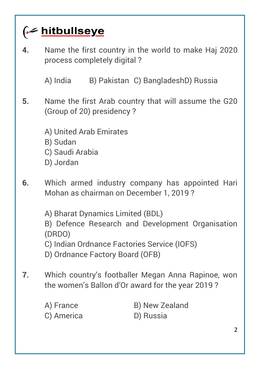### (← hitbullseye

**4.** Name the first country in the world to make Haj 2020 process completely digital ?

A) India B) Pakistan C) BangladeshD) Russia

- **5.** Name the first Arab country that will assume the G20 (Group of 20) presidency ?
	- A) United Arab Emirates
	- B) Sudan
	- C) Saudi Arabia
	- D) Jordan
- **6.** Which armed industry company has appointed Hari Mohan as chairman on December 1, 2019 ?
	- A) Bharat Dynamics Limited (BDL)
	- B) Defence Research and Development Organisation (DRDO)
	- C) Indian Ordnance Factories Service (IOFS)
	- D) Ordnance Factory Board (OFB)
- **7.** Which country's footballer Megan Anna Rapinoe, won the women's Ballon d'Or award for the year 2019 ?
	- C) America D) Russia
	- A) France B) New Zealand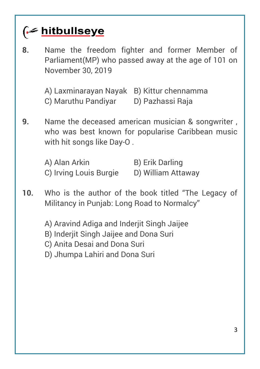

**8.** Name the freedom fighter and former Member of Parliament(MP) who passed away at the age of 101 on November 30, 2019

> A) Laxminarayan Nayak B) Kittur chennamma C) Maruthu Pandiyar D) Pazhassi Raja

**9.** Name the deceased american musician & songwriter , who was best known for popularise Caribbean music with hit songs like Day-O .

A) Alan Arkin B) Erik Darling C) Irving Louis Burgie D) William Attaway

**10.** Who is the author of the book titled "The Legacy of Militancy in Punjab: Long Road to Normalcy"

A) Aravind Adiga and Inderjit Singh Jaijee

B) Inderiit Singh Jaijee and Dona Suri

C) Anita Desai and Dona Suri

D) Jhumpa Lahiri and Dona Suri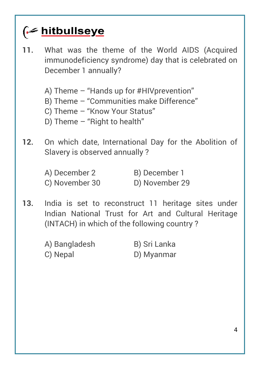### (← hitbullseye

- **11.** What was the theme of the World AIDS (Acquired immunodeficiency syndrome) day that is celebrated on December 1 annually?
	- A) Theme "Hands up for #HIVprevention"
	- B) Theme "Communities make Difference"
	- C) Theme "Know Your Status"
	- D) Theme "Right to health"
- **12.** On which date, International Day for the Abolition of Slavery is observed annually ?

| A) December 2  | B) December 1  |
|----------------|----------------|
| C) November 30 | D) November 29 |

- **13.** India is set to reconstruct 11 heritage sites under Indian National Trust for Art and Cultural Heritage (INTACH) in which of the following country ?
	- A) Bangladesh B) Sri Lanka C) Nepal D) Myanmar
	-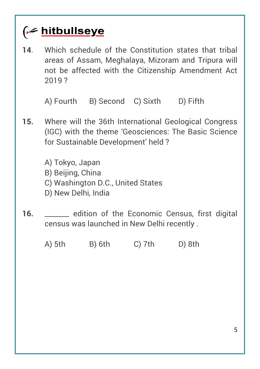

**14**. Which schedule of the Constitution states that tribal areas of Assam, Meghalaya, Mizoram and Tripura will not be affected with the Citizenship Amendment Act 2019 ?

A) Fourth B) Second C) Sixth D) Fifth

**15.** Where will the 36th International Geological Congress (IGC) with the theme 'Geosciences: The Basic Science for Sustainable Development' held ?

> A) Tokyo, Japan B) Beijing, China

- C) Washington D.C., United States
- D) New Delhi, India
- **16.** \_\_\_\_\_\_\_ edition of the Economic Census, first digital census was launched in New Delhi recently .

A) 5th B) 6th C) 7th D) 8th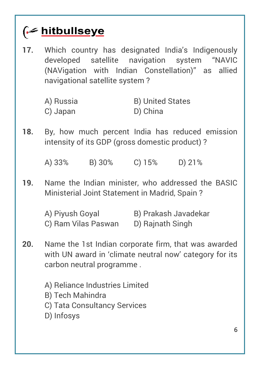| 17. | Which country has designated India's Indigenously<br>developed satellite navigation system "NAVIC<br>(NAVigation with Indian Constellation)" as allied<br>navigational satellite system? |                                     |  |  |
|-----|------------------------------------------------------------------------------------------------------------------------------------------------------------------------------------------|-------------------------------------|--|--|
|     | A) Russia<br>C) Japan                                                                                                                                                                    | <b>B) United States</b><br>D) China |  |  |
| 18. | By, how much percent India has reduced emission<br>intensity of its GDP (gross domestic product)?                                                                                        |                                     |  |  |
|     | A) 33% B) 30% C) 15% D) 21%                                                                                                                                                              |                                     |  |  |
| 19. | Name the Indian minister, who addressed the BASIC<br>Ministerial Joint Statement in Madrid, Spain?                                                                                       |                                     |  |  |
|     | A) Piyush Goyal B) Prakash Javadekar<br>C) Ram Vilas Paswan                                                                                                                              | D) Rajnath Singh                    |  |  |
| 20. | Name the 1st Indian corporate firm, that was awarded<br>with UN award in 'climate neutral now' category for its<br>carbon neutral programme.                                             |                                     |  |  |
|     | A) Reliance Industries Limited<br><b>B) Tech Mahindra</b><br>C) Tata Consultancy Services<br>D) Infosys                                                                                  |                                     |  |  |
|     |                                                                                                                                                                                          | 6                                   |  |  |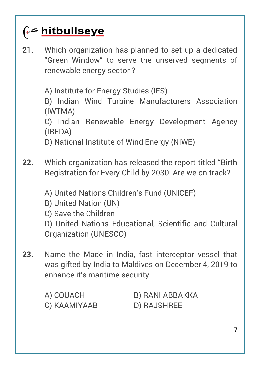

**21.** Which organization has planned to set up a dedicated "Green Window" to serve the unserved segments of renewable energy sector ?

A) Institute for Energy Studies (IES)

B) Indian Wind Turbine Manufacturers Association (IWTMA)

C) Indian Renewable Energy Development Agency (IREDA)

D) National Institute of Wind Energy (NIWE)

- **22.** Which organization has released the report titled "Birth Registration for Every Child by 2030: Are we on track?
	- A) United Nations Children's Fund (UNICEF)
	- B) United Nation (UN)
	- C) Save the Children

D) United Nations Educational, Scientific and Cultural Organization (UNESCO)

**23.** Name the Made in India, fast interceptor vessel that was gifted by India to Maldives on December 4, 2019 to enhance it's maritime security.

| A) COUACH    | B) RANI ABBAKKA |
|--------------|-----------------|
| C) KAAMIYAAB | D) RAJSHREE     |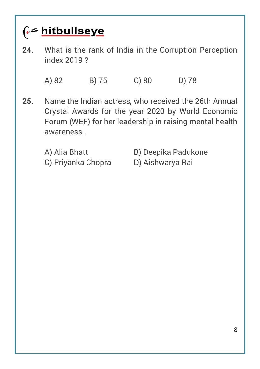### **G** hitbullseye

**24.** What is the rank of India in the Corruption Perception index 2019 ?

A) 82 B) 75 C) 80 D) 78

- **25.** Name the Indian actress, who received the 26th Annual Crystal Awards for the year 2020 by World Economic Forum (WEF) for her leadership in raising mental health awareness .
	-
	- C) Priyanka Chopra D) Aishwarya Rai
	- A) Alia Bhatt B) Deepika Padukone
		-